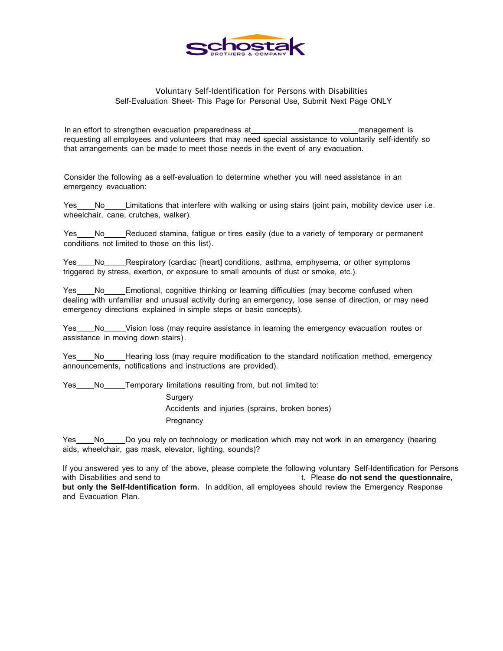

## Voluntary Self-Identification for Persons with Disabilities Self-Evaluation Sheet- This Page for Personal Use, Submit Next Page ONLY

In an effort to strengthen evacuation preparedness at management is requesting all employees and volunteers that may need special assistance to voluntarily self-identify so that arrangements can be made to meet those needs in the event of any evacuation.

Consider the following as a self-evaluation to determine whether you will need assistance in an emergency evacuation:

Yes No Limitations that interfere with walking or using stairs (joint pain, mobility device user i.e. wheelchair, cane, crutches, walker).

Yes No Reduced stamina, fatigue or tires easily (due to a variety of temporary or permanent conditions not limited to those on this list).

Yes No Respiratory (cardiac [heart] conditions, asthma, emphysema, or other symptoms triggered by stress, exertion, or exposure to small amounts of dust or smoke, etc.).

No Emotional, cognitive thinking or learning difficulties (may become confused when dealing with unfamiliar and unusual activity during an emergency, lose sense of direction, or may need emergency directions explained in simple steps or basic concepts).

Yes No Vision loss (may require assistance in learning the emergency evacuation routes or assistance in moving down stairs) .

Yes \_\_\_\_No\_\_\_\_\_Hearing loss (may require modification to the standard notification method, emergency announcements, notifications and instructions are provided).

Yes No Temporary limitations resulting from, but not limited to:

**Surgery** Accidents and injuries (sprains, broken bones) **Pregnancy** 

Yes \_\_\_\_No \_\_\_\_\_Do you rely on technology or medication which may not work in an emergency (hearing aids, wheelchair, gas mask, elevator, lighting, sounds)?

If you answered yes to any of the above, please complete the following voluntary Self-Identification for Persons with Disabilities and send to t. Please **do not send the questionnaire, but only the Self-Identification form.** In addition, all employees should review the Emergency Response and Evacuation Plan.